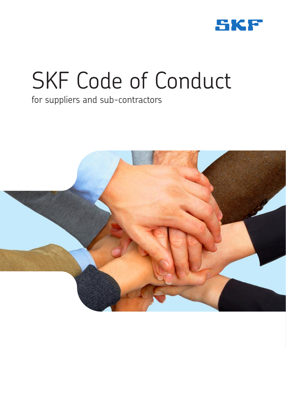

# SKF Code of Conduct

#### for suppliers and sub-contractors

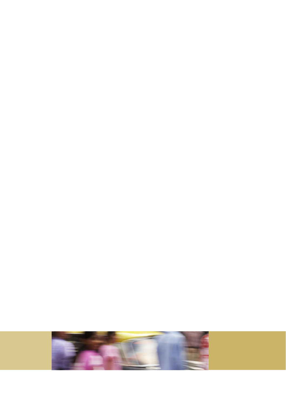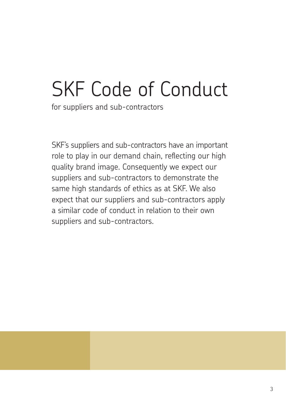## SKF Code of Conduct

for suppliers and sub-contractors

SKF's suppliers and sub-contractors have an important role to play in our demand chain, reflecting our high quality brand image. Consequently we expect our suppliers and sub-contractors to demonstrate the same high standards of ethics as at SKF. We also expect that our suppliers and sub-contractors apply a similar code of conduct in relation to their own suppliers and sub-contractors.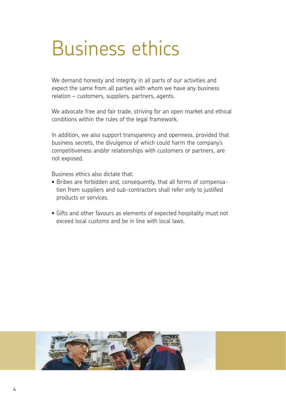### Business ethics

We demand honesty and integrity in all parts of our activities and expect the same from all parties with whom we have any business relation – customers, suppliers, partners, agents.

We advocate free and fair trade, striving for an open market and ethical conditions within the rules of the legal framework.

In addition, we also support transparency and openness, provided that business secrets, the divulgence of which could harm the company's competitiveness and/or relationships with customers or partners, are not exposed.

Business ethics also dictate that:

- Bribes are forbidden and, consequently, that all forms of compensation from suppliers and sub-contractors shall refer only to justified products or services.
- Gifts and other favours as elements of expected hospitality must not exceed local customs and be in line with local laws.

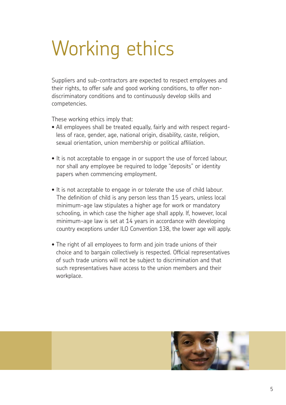### Working ethics

Suppliers and sub-contractors are expected to respect employees and their rights, to offer safe and good working conditions, to offer nondiscriminatory conditions and to continuously develop skills and competencies.

These working ethics imply that:

- All employees shall be treated equally, fairly and with respect regardless of race, gender, age, national origin, disability, caste, religion, sexual orientation, union membership or political affiliation.
- It is not acceptable to engage in or support the use of forced labour, nor shall any employee be required to lodge "deposits" or identity papers when commencing employment.
- It is not acceptable to engage in or tolerate the use of child labour. The definition of child is any person less than 15 years, unless local minimum-age law stipulates a higher age for work or mandatory schooling, in which case the higher age shall apply. If, however, local minimum-age law is set at 14 years in accordance with developing country exceptions under ILO Convention 138, the lower age will apply.
- The right of all employees to form and join trade unions of their choice and to bargain collectively is respected. Official representatives of such trade unions will not be subject to discrimination and that such representatives have access to the union members and their workplace.

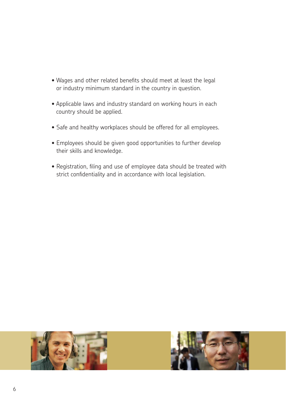- Wages and other related benefits should meet at least the legal or industry minimum standard in the country in question.
- Applicable laws and industry standard on working hours in each country should be applied.
- Safe and healthy workplaces should be offered for all employees.
- Employees should be given good opportunities to further develop their skills and knowledge.
- Registration, filing and use of employee data should be treated with strict confidentiality and in accordance with local legislation.

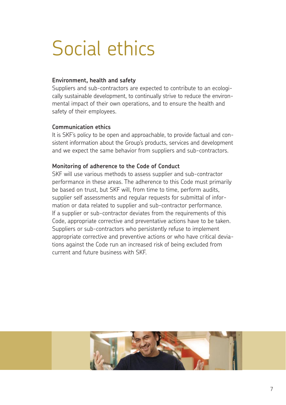### Social ethics

#### **Environment, health and safety**

Suppliers and sub-contractors are expected to contribute to an ecologically sustainable development, to continually strive to reduce the environmental impact of their own operations, and to ensure the health and safety of their employees.

#### **Communication ethics**

It is SKF's policy to be open and approachable, to provide factual and consistent information about the Group's products, services and development and we expect the same behavior from suppliers and sub-contractors.

#### **Monitoring of adherence to the Code of Conduct**

SKF will use various methods to assess supplier and sub-contractor performance in these areas. The adherence to this Code must primarily be based on trust, but SKF will, from time to time, perform audits, supplier self assessments and regular requests for submittal of information or data related to supplier and sub-contractor performance. If a supplier or sub-contractor deviates from the requirements of this Code, appropriate corrective and preventative actions have to be taken. Suppliers or sub-contractors who persistently refuse to implement appropriate corrective and preventive actions or who have critical deviations against the Code run an increased risk of being excluded from current and future business with SKF.